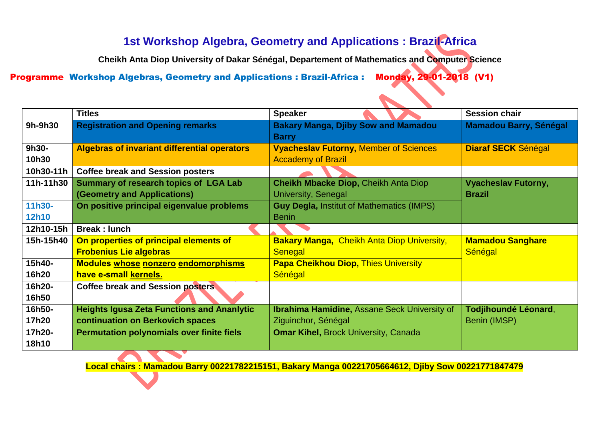## **1st Workshop Algebra, Geometry and Applications : Brazil-Africa**

**Cheikh Anta Diop University of Dakar Sénégal, Departement of Mathematics and Computer Science**

Programme Workshop Algebras, Geometry and Applications : Brazil-Africa : Monday, 29-01-2018 (V1)

|                 | <b>Titles</b>                                       | <b>Speaker</b>                                                | <b>Session chair</b>          |
|-----------------|-----------------------------------------------------|---------------------------------------------------------------|-------------------------------|
| 9h-9h30         | <b>Registration and Opening remarks</b>             | <b>Bakary Manga, Djiby Sow and Mamadou</b>                    | <b>Mamadou Barry, Sénégal</b> |
| 9h30-           | <b>Algebras of invariant differential operators</b> | <b>Barry</b><br><b>Vyacheslav Futorny, Member of Sciences</b> | <b>Diaraf SECK Sénégal</b>    |
| 10h30           |                                                     | <b>Accademy of Brazil</b>                                     |                               |
| 10h30-11h       | <b>Coffee break and Session posters</b>             |                                                               |                               |
| 11h-11h30       | <b>Summary of research topics of LGA Lab</b>        | <b>Cheikh Mbacke Diop, Cheikh Anta Diop</b>                   | <b>Vyacheslav Futorny,</b>    |
|                 | (Geometry and Applications)                         | University, Senegal                                           | <b>Brazil</b>                 |
| 11h30-          | On positive principal eigenvalue problems           | <b>Guy Degla, Institut of Mathematics (IMPS)</b>              |                               |
| <b>12h10</b>    |                                                     | <b>Benin</b>                                                  |                               |
| 12h10-15h       | <b>Break: lunch</b>                                 |                                                               |                               |
| 15h-15h40       | On properties of principal elements of              | <b>Bakary Manga, Cheikh Anta Diop University,</b>             | <b>Mamadou Sanghare</b>       |
|                 | <b>Frobenius Lie algebras</b>                       | Senegal                                                       | Sénégal                       |
| 15h40-          | <b>Modules whose nonzero endomorphisms</b>          | <b>Papa Cheikhou Diop, Thies University</b>                   |                               |
| 16h20           | have e-small kernels.                               | Sénégal                                                       |                               |
| 16h20-          | <b>Coffee break and Session posters</b>             |                                                               |                               |
| 16h50           |                                                     |                                                               |                               |
| 16h50-          | <b>Heights Igusa Zeta Functions and Ananlytic</b>   | <b>Ibrahima Hamidine, Assane Seck University of</b>           | Todjihoundé Léonard,          |
| 17h20           | continuation on Berkovich spaces                    | Ziguinchor, Sénégal                                           | Benin (IMSP)                  |
| 17h20-<br>18h10 | <b>Permutation polynomials over finite fiels</b>    | <b>Omar Kihel, Brock University, Canada</b>                   |                               |
|                 |                                                     |                                                               |                               |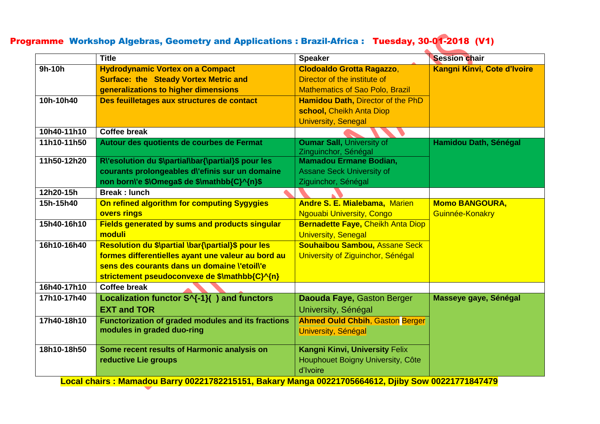### Programme Workshop Algebras, Geometry and Applications : Brazil-Africa : Tuesday, 30-01-2018 (V1)

|             | <b>Title</b>                                                                                        | <b>Speaker</b>                           | <b>Session chair</b>        |
|-------------|-----------------------------------------------------------------------------------------------------|------------------------------------------|-----------------------------|
| 9h-10h      | <b>Hydrodynamic Vortex on a Compact</b>                                                             | <b>Clodoaldo Grotta Ragazzo,</b>         | Kangni Kinvi, Cote d'Ivoire |
|             | <b>Surface: the Steady Vortex Metric and</b>                                                        | Director of the institute of             |                             |
|             | generalizations to higher dimensions                                                                | <b>Mathematics of Sao Polo, Brazil</b>   |                             |
| 10h-10h40   | Des feuilletages aux structures de contact                                                          | Hamidou Dath, Director of the PhD        |                             |
|             |                                                                                                     | school, Cheikh Anta Diop                 |                             |
|             |                                                                                                     | <b>University, Senegal</b>               |                             |
| 10h40-11h10 | <b>Coffee break</b>                                                                                 |                                          |                             |
| 11h10-11h50 | Autour des quotients de courbes de Fermat                                                           | <b>Oumar Sall, University of</b>         | Hamidou Dath, Sénégal       |
|             |                                                                                                     | Zinguinchor, Sénégal                     |                             |
| 11h50-12h20 | R\'esolution du \$\partial\bar{\partial}\$ pour les                                                 | <b>Mamadou Ermane Bodian,</b>            |                             |
|             | courants prolongeables d'efinis sur un domaine                                                      | <b>Assane Seck University of</b>         |                             |
|             | non born\'e \$\Omega\$ de \$\mathbb{C}^{n}\$                                                        | Ziguinchor, Sénégal                      |                             |
| 12h20-15h   | <b>Break: lunch</b>                                                                                 |                                          |                             |
| 15h-15h40   | On refined algorithm for computing Sygygies                                                         | <b>Andre S. E. Mialebama, Marien</b>     | <b>Momo BANGOURA,</b>       |
|             | overs rings                                                                                         | <b>Ngouabi University, Congo</b>         | Guinnée-Konakry             |
| 15h40-16h10 | <b>Fields generated by sums and products singular</b>                                               | <b>Bernadette Faye, Cheikh Anta Diop</b> |                             |
|             | moduli                                                                                              | <b>University, Senegal</b>               |                             |
| 16h10-16h40 | Resolution du \$\partial \bar{\partial}\$ pour les                                                  | <b>Souhaibou Sambou, Assane Seck</b>     |                             |
|             | formes differentielles ayant une valeur au bord au                                                  | University of Ziguinchor, Sénégal        |                             |
|             | sens des courants dans un domaine l'etoill'e                                                        |                                          |                             |
|             | strictement pseudoconvexe de \$\mathbb{C}^{n}                                                       |                                          |                             |
| 16h40-17h10 | <b>Coffee break</b>                                                                                 |                                          |                             |
| 17h10-17h40 | Localization functor S^{-1}() and functors                                                          | Daouda Faye, Gaston Berger               | Masseye gaye, Sénégal       |
|             | <b>EXT and TOR</b>                                                                                  | University, Sénégal                      |                             |
| 17h40-18h10 | Functorization of graded modules and its fractions                                                  | <b>Ahmed Ould Chbih, Gaston Berger</b>   |                             |
|             | modules in graded duo-ring                                                                          | University, Sénégal                      |                             |
|             |                                                                                                     |                                          |                             |
| 18h10-18h50 | Some recent results of Harmonic analysis on                                                         | <b>Kangni Kinvi, University Felix</b>    |                             |
|             | reductive Lie groups                                                                                | Houphouet Boigny University, Côte        |                             |
|             | Local choixe : Memode:: Dexy: 00004700045454 Delcey: Menge 00004705004040 Diiby Cey: 00004774047470 | d'Ivoire                                 |                             |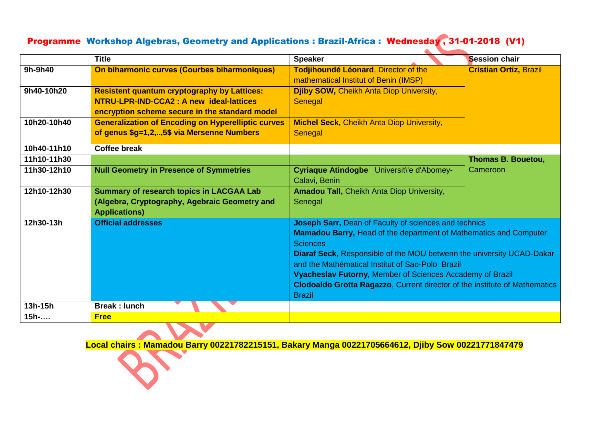### Programme Workshop Algebras, Geometry and Applications : Brazil-Africa : Wednesday , 31-01-2018 (V1)

|             | <b>Title</b>                                                                                                                                     | <b>Speaker</b>                                                                                                                                                                                                                                                                                                                                                                                                                                       | <b>Session chair</b>          |
|-------------|--------------------------------------------------------------------------------------------------------------------------------------------------|------------------------------------------------------------------------------------------------------------------------------------------------------------------------------------------------------------------------------------------------------------------------------------------------------------------------------------------------------------------------------------------------------------------------------------------------------|-------------------------------|
| 9h-9h40     | On biharmonic curves (Courbes biharmoniques)                                                                                                     | Todjihoundé Léonard, Director of the<br>mathematical Institut of Benin (IMSP)                                                                                                                                                                                                                                                                                                                                                                        | <b>Cristian Ortiz, Brazil</b> |
| 9h40-10h20  | <b>Resistent quantum cryptography by Lattices:</b><br>NTRU-LPR-IND-CCA2 : A new ideal-lattices<br>encryption scheme secure in the standard model | <b>Djiby SOW, Cheikh Anta Diop University,</b><br>Senegal                                                                                                                                                                                                                                                                                                                                                                                            |                               |
| 10h20-10h40 | <b>Generalization of Encoding on Hyperelliptic curves</b><br>of genus \$g=1,2,,5\$ via Mersenne Numbers                                          | <b>Michel Seck, Cheikh Anta Diop University,</b><br>Senegal                                                                                                                                                                                                                                                                                                                                                                                          |                               |
| 10h40-11h10 | <b>Coffee break</b>                                                                                                                              |                                                                                                                                                                                                                                                                                                                                                                                                                                                      |                               |
| 11h10-11h30 |                                                                                                                                                  |                                                                                                                                                                                                                                                                                                                                                                                                                                                      | <b>Thomas B. Bouetou,</b>     |
| 11h30-12h10 | <b>Null Geometry in Presence of Symmetries</b>                                                                                                   | Cyriaque Atindogbe Universit\'e d'Abomey-<br>Calavi, Benin                                                                                                                                                                                                                                                                                                                                                                                           | Cameroon                      |
| 12h10-12h30 | <b>Summary of research topics in LACGAA Lab</b><br>(Algebra, Cryptography, Agebraic Geometry and<br><b>Applications)</b>                         | Amadou Tall, Cheikh Anta Diop University,<br>Senegal                                                                                                                                                                                                                                                                                                                                                                                                 |                               |
| 12h30-13h   | <b>Official addresses</b>                                                                                                                        | Joseph Sarr, Dean of Faculty of sciences and technics<br><b>Mamadou Barry, Head of the department of Mathematics and Computer</b><br><b>Sciences</b><br>Diaraf Seck, Responsible of the MOU betwenn the university UCAD-Dakar<br>and the Mathématical Institut of Sao-Polo Brazil<br>Vyacheslav Futorny, Member of Sciences Accademy of Brazil<br><b>Clodoaldo Grotta Ragazzo, Current director of the institute of Mathematics</b><br><b>Brazil</b> |                               |
| 13h-15h     | <b>Break: lunch</b>                                                                                                                              |                                                                                                                                                                                                                                                                                                                                                                                                                                                      |                               |
| $15h$ -     | <b>Free</b>                                                                                                                                      |                                                                                                                                                                                                                                                                                                                                                                                                                                                      |                               |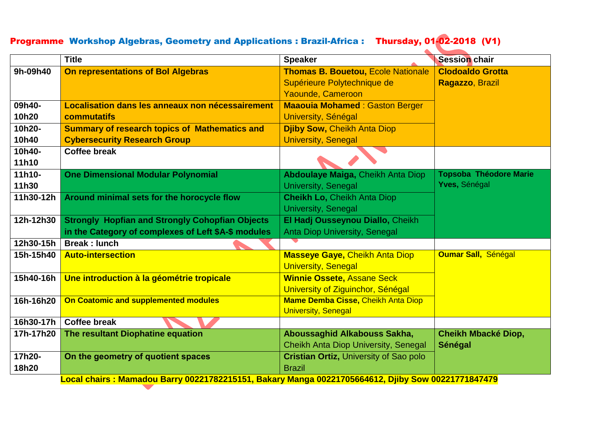# Programme Workshop Algebras, Geometry and Applications : Brazil-Africa : Thursday, 01-02-2018 (V1)

|           | <b>Title</b>                                                                                       | <b>Speaker</b>                                | <b>Session chair</b>          |
|-----------|----------------------------------------------------------------------------------------------------|-----------------------------------------------|-------------------------------|
| 9h-09h40  | On representations of Bol Algebras                                                                 | <b>Thomas B. Bouetou, Ecole Nationale</b>     | <b>Clodoaldo Grotta</b>       |
|           |                                                                                                    | Supérieure Polytechnique de                   | Ragazzo, Brazil               |
|           |                                                                                                    | Yaounde, Cameroon                             |                               |
| 09h40-    | Localisation dans les anneaux non nécessairement                                                   | <b>Maaouia Mohamed: Gaston Berger</b>         |                               |
| 10h20     | commutatifs                                                                                        | University, Sénégal                           |                               |
| 10h20-    | <b>Summary of research topics of Mathematics and</b>                                               | <b>Djiby Sow, Cheikh Anta Diop</b>            |                               |
| 10h40     | <b>Cybersecurity Research Group</b>                                                                | <b>University, Senegal</b>                    |                               |
| 10h40-    | <b>Coffee break</b>                                                                                |                                               |                               |
| 11h10     |                                                                                                    |                                               |                               |
| $11h10-$  | <b>One Dimensional Modular Polynomial</b>                                                          | <b>Abdoulaye Maiga, Cheikh Anta Diop</b>      | <b>Topsoba Théodore Marie</b> |
| 11h30     |                                                                                                    | <b>University, Senegal</b>                    | Yves, Sénégal                 |
| 11h30-12h | Around minimal sets for the horocycle flow                                                         | <b>Cheikh Lo, Cheikh Anta Diop</b>            |                               |
|           |                                                                                                    | University, Senegal                           |                               |
| 12h-12h30 | <b>Strongly Hopfian and Strongly Cohopfian Objects</b>                                             | El Hadj Ousseynou Diallo, Cheikh              |                               |
|           | in the Category of complexes of Left \$A-\$ modules                                                | <b>Anta Diop University, Senegal</b>          |                               |
| 12h30-15h | <b>Break: lunch</b>                                                                                |                                               |                               |
| 15h-15h40 | <b>Auto-intersection</b>                                                                           | <b>Masseye Gaye, Cheikh Anta Diop</b>         | <b>Oumar Sall, Sénégal</b>    |
|           |                                                                                                    | <b>University, Senegal</b>                    |                               |
| 15h40-16h | Une introduction à la géométrie tropicale                                                          | <b>Winnie Ossete, Assane Seck</b>             |                               |
|           |                                                                                                    | University of Ziguinchor, Sénégal             |                               |
| 16h-16h20 | <b>On Coatomic and supplemented modules</b>                                                        | Mame Demba Cisse, Cheikh Anta Diop            |                               |
|           |                                                                                                    | <b>University, Senegal</b>                    |                               |
| 16h30-17h | <b>Coffee break</b>                                                                                |                                               |                               |
| 17h-17h20 | The resultant Diophatine equation                                                                  | Aboussaghid Alkabouss Sakha,                  | Cheikh Mbacké Diop,           |
|           |                                                                                                    | <b>Cheikh Anta Diop University, Senegal</b>   | <b>Sénégal</b>                |
| 17h20-    | On the geometry of quotient spaces                                                                 | <b>Cristian Ortiz, University of Sao polo</b> |                               |
| 18h20     |                                                                                                    | <b>Brazil</b>                                 |                               |
|           | Local chairs : Mamadou Barry 00221782215151, Bakary Manga 00221705664612, Djiby Sow 00221771847479 |                                               |                               |